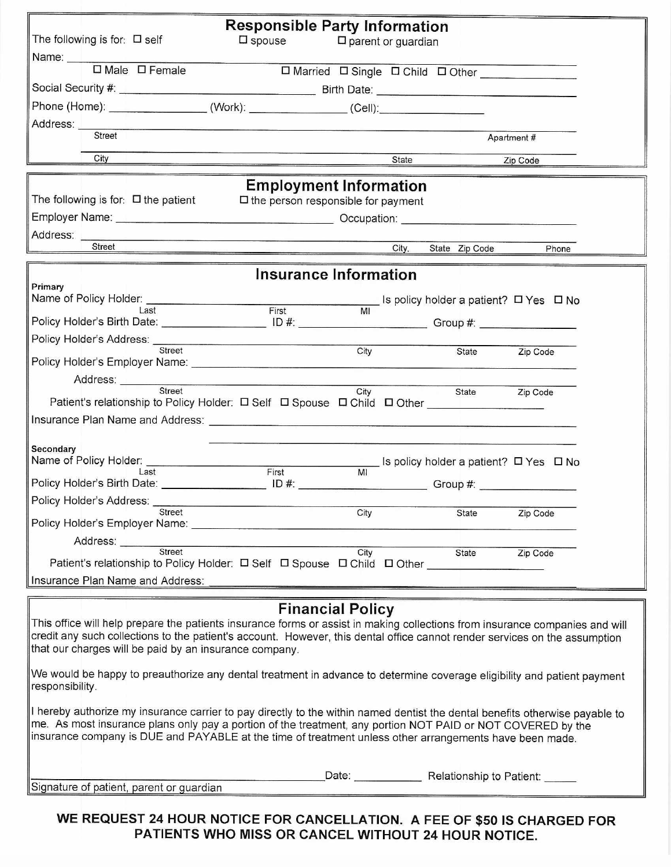| <b>Responsible Party Information</b>                                                                                                                                                                                                                       |       |      |       |                                |                                          |  |  |
|------------------------------------------------------------------------------------------------------------------------------------------------------------------------------------------------------------------------------------------------------------|-------|------|-------|--------------------------------|------------------------------------------|--|--|
| The following is for: $\Box$ self<br>$\square$ spouse<br>$\square$ parent or guardian                                                                                                                                                                      |       |      |       |                                |                                          |  |  |
| Name: ___________<br>$\boxed{\square \text{ Male}} \quad \boxed{\square \text{ Female}}$                                                                                                                                                                   |       |      |       |                                |                                          |  |  |
| □ Married □ Single □ Child □ Other _____________                                                                                                                                                                                                           |       |      |       |                                |                                          |  |  |
| Phone (Home): _______________________(Work): __________________(Cell):______________________________                                                                                                                                                       |       |      |       |                                |                                          |  |  |
|                                                                                                                                                                                                                                                            |       |      |       |                                |                                          |  |  |
| Street                                                                                                                                                                                                                                                     |       |      |       |                                | Apartment #                              |  |  |
| City                                                                                                                                                                                                                                                       |       |      | State |                                | Zip Code                                 |  |  |
| <b>Employment Information</b>                                                                                                                                                                                                                              |       |      |       |                                |                                          |  |  |
| The following is for: $\Box$ the patient<br>$\square$ the person responsible for payment                                                                                                                                                                   |       |      |       |                                |                                          |  |  |
| Employer Name: <u>Name: Name School (Name School Coupation:</u> Occupation: Name School Coupletion: Name School Coupletion: Name School Coupletion: Name School Coupletion: Name School Coupletion: Name School Coupletion: Name Sc                        |       |      |       |                                |                                          |  |  |
|                                                                                                                                                                                                                                                            |       |      |       |                                |                                          |  |  |
| <b>Street</b>                                                                                                                                                                                                                                              |       |      | City, | State Zip Code                 | Phone                                    |  |  |
| <b>Insurance Information</b>                                                                                                                                                                                                                               |       |      |       |                                |                                          |  |  |
| Primary                                                                                                                                                                                                                                                    |       |      |       |                                |                                          |  |  |
| Name of Policy Holder: $\frac{1}{\text{Last}}$ Is policy holder a patient? $\Box$ Yes $\Box$ No                                                                                                                                                            |       |      |       |                                |                                          |  |  |
|                                                                                                                                                                                                                                                            |       |      |       |                                |                                          |  |  |
| Street                                                                                                                                                                                                                                                     |       | City |       | State                          | Zip Code                                 |  |  |
|                                                                                                                                                                                                                                                            |       |      |       |                                |                                          |  |  |
| Address: ___________                                                                                                                                                                                                                                       |       |      |       |                                |                                          |  |  |
| Street                                                                                                                                                                                                                                                     |       | City |       | State                          | Zip Code                                 |  |  |
| Insurance Plan Name and Address: <b>contract and all and all and all and all and all and all and all and all and a</b>                                                                                                                                     |       |      |       |                                |                                          |  |  |
|                                                                                                                                                                                                                                                            |       |      |       |                                |                                          |  |  |
| Secondary<br>Name of Policy Holder:                                                                                                                                                                                                                        |       |      |       |                                |                                          |  |  |
| Last                                                                                                                                                                                                                                                       | First | MI   |       |                                | _ Is policy holder a patient? □ Yes □ No |  |  |
| Policy Holder's Birth Date: _________________________ ID #: _____________________________Group #: __                                                                                                                                                       |       |      |       |                                |                                          |  |  |
| Policy Holder's Address:<br>Street                                                                                                                                                                                                                         |       | City |       | State                          | Zip Code                                 |  |  |
|                                                                                                                                                                                                                                                            |       |      |       |                                |                                          |  |  |
| Address: Street                                                                                                                                                                                                                                            |       |      |       |                                |                                          |  |  |
| Patient's relationship to Policy Holder: □ Self □ Spouse □ Child □ Other                                                                                                                                                                                   |       | City |       | State                          | Zip Code                                 |  |  |
| Insurance Plan Name and Address:                                                                                                                                                                                                                           |       |      |       |                                |                                          |  |  |
|                                                                                                                                                                                                                                                            |       |      |       |                                |                                          |  |  |
| <b>Financial Policy</b>                                                                                                                                                                                                                                    |       |      |       |                                |                                          |  |  |
| This office will help prepare the patients insurance forms or assist in making collections from insurance companies and will<br>credit any such collections to the patient's account. However, this dental office cannot render services on the assumption |       |      |       |                                |                                          |  |  |
| that our charges will be paid by an insurance company.                                                                                                                                                                                                     |       |      |       |                                |                                          |  |  |
|                                                                                                                                                                                                                                                            |       |      |       |                                |                                          |  |  |
| $\mathbin\Vert$ We would be happy to preauthorize any dental treatment in advance to determine coverage eligibility and patient payment<br>responsibility.                                                                                                 |       |      |       |                                |                                          |  |  |
|                                                                                                                                                                                                                                                            |       |      |       |                                |                                          |  |  |
| $\ $ l hereby authorize my insurance carrier to pay directly to the within named dentist the dental benefits otherwise payable to<br>me. As most insurance plans only pay a portion of the treatment, any portion NOT PAID or NOT COVERED by the           |       |      |       |                                |                                          |  |  |
| insurance company is DUE and PAYABLE at the time of treatment unless other arrangements have been made.                                                                                                                                                    |       |      |       |                                |                                          |  |  |
|                                                                                                                                                                                                                                                            |       |      |       |                                |                                          |  |  |
|                                                                                                                                                                                                                                                            |       |      |       | Date: Relationship to Patient: |                                          |  |  |
| Signature of patient, parent or guardian                                                                                                                                                                                                                   |       |      |       |                                |                                          |  |  |
|                                                                                                                                                                                                                                                            |       |      |       |                                |                                          |  |  |

WE REQUEST 24 HOUR NOTICE FOR CANCELLATION. A FEE OF \$50 IS CHARGED FOR PATIENTS WHO MISS OR CANCEL WITHOUT 24 HOUR NOTICE.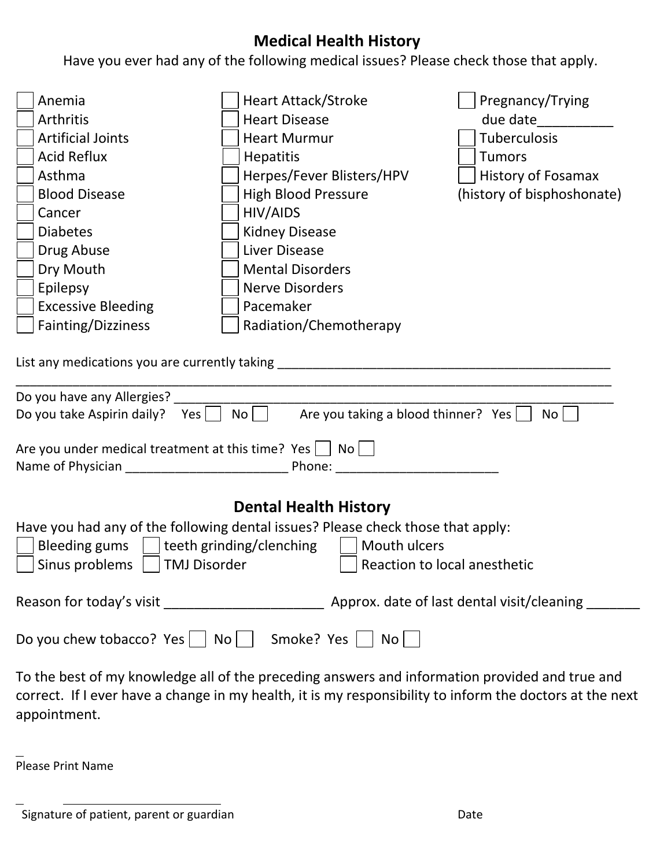# **Medical Health History**

Have you ever had any of the following medical issues? Please check those that apply.

| Anemia                                                                                                                                                                                    | <b>Heart Attack/Stroke</b> | Pregnancy/Trying           |  |  |  |  |
|-------------------------------------------------------------------------------------------------------------------------------------------------------------------------------------------|----------------------------|----------------------------|--|--|--|--|
| Arthritis                                                                                                                                                                                 | <b>Heart Disease</b>       | due date                   |  |  |  |  |
| <b>Artificial Joints</b>                                                                                                                                                                  | <b>Heart Murmur</b>        | Tuberculosis               |  |  |  |  |
| <b>Acid Reflux</b>                                                                                                                                                                        | <b>Hepatitis</b>           | <b>Tumors</b>              |  |  |  |  |
| Asthma                                                                                                                                                                                    | Herpes/Fever Blisters/HPV  | <b>History of Fosamax</b>  |  |  |  |  |
| <b>Blood Disease</b>                                                                                                                                                                      | High Blood Pressure        | (history of bisphoshonate) |  |  |  |  |
| Cancer                                                                                                                                                                                    | HIV/AIDS                   |                            |  |  |  |  |
| <b>Diabetes</b>                                                                                                                                                                           | <b>Kidney Disease</b>      |                            |  |  |  |  |
| Drug Abuse                                                                                                                                                                                | <b>Liver Disease</b>       |                            |  |  |  |  |
| Dry Mouth                                                                                                                                                                                 | <b>Mental Disorders</b>    |                            |  |  |  |  |
| Epilepsy                                                                                                                                                                                  | <b>Nerve Disorders</b>     |                            |  |  |  |  |
| <b>Excessive Bleeding</b>                                                                                                                                                                 | Pacemaker                  |                            |  |  |  |  |
| Fainting/Dizziness                                                                                                                                                                        | Radiation/Chemotherapy     |                            |  |  |  |  |
| Do you have any Allergies?<br>No<br>Are you taking a blood thinner? Yes<br>Do you take Aspirin daily? Yes<br>No<br>Are you under medical treatment at this time? Yes $ $   No  <br>Phone: |                            |                            |  |  |  |  |
| <b>Dental Health History</b>                                                                                                                                                              |                            |                            |  |  |  |  |
| Have you had any of the following dental issues? Please check those that apply:                                                                                                           |                            |                            |  |  |  |  |
| teeth grinding/clenching<br>Mouth ulcers<br><b>Bleeding gums</b>                                                                                                                          |                            |                            |  |  |  |  |
| <b>TMJ Disorder</b><br>Sinus problems<br>Reaction to local anesthetic                                                                                                                     |                            |                            |  |  |  |  |
|                                                                                                                                                                                           |                            |                            |  |  |  |  |
| Do you chew tobacco? Yes $\vert$ No $\vert$ Smoke? Yes $\vert$ No $\vert$                                                                                                                 |                            |                            |  |  |  |  |
| To the best of my knowledge all of the preceding answers and information provided and true and                                                                                            |                            |                            |  |  |  |  |

o the best of my knowledge all of the preceding answers and information provided and true and correct. If I ever have a change in my health, it is my responsibility to inform the doctors at the next appointment.

Please Print Name

Signature of patient, parent or guardian Date of the Date Date